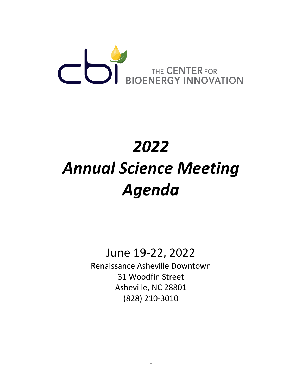

## *2022 Annual Science Meeting Agenda*

June 19-22, 2022

Renaissance Asheville Downtown 31 Woodfin Street Asheville, NC 28801 (828) 210-3010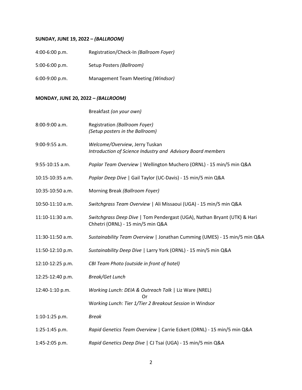## **SUNDAY, JUNE 19, 2022 –** *(BALLROOM)*

| $4:00-6:00 p.m.$ | Registration/Check-In (Ballroom Foyer) |
|------------------|----------------------------------------|
| $5:00-6:00$ p.m. | Setup Posters (Ballroom)               |
| $6:00-9:00 p.m.$ | Management Team Meeting (Windsor)      |

## **MONDAY, JUNE 20, 2022 –** *(BALLROOM)*

|                  | Breakfast (on your own)                                                                                       |
|------------------|---------------------------------------------------------------------------------------------------------------|
| 8:00-9:00 a.m.   | Registration (Ballroom Foyer)<br>(Setup posters in the Ballroom)                                              |
| 9:00-9:55 a.m.   | Welcome/Overview, Jerry Tuskan<br>Introduction of Science Industry and Advisory Board members                 |
| 9:55-10:15 a.m.  | Poplar Team Overview   Wellington Muchero (ORNL) - 15 min/5 min Q&A                                           |
| 10:15-10:35 a.m. | Poplar Deep Dive   Gail Taylor (UC-Davis) - 15 min/5 min Q&A                                                  |
| 10:35-10:50 a.m. | Morning Break (Ballroom Foyer)                                                                                |
| 10:50-11:10 a.m. | Switchgrass Team Overview   Ali Missaoui (UGA) - 15 min/5 min Q&A                                             |
| 11:10-11:30 a.m. | Switchgrass Deep Dive   Tom Pendergast (UGA), Nathan Bryant (UTK) & Hari<br>Chhetri (ORNL) - 15 min/5 min Q&A |
| 11:30-11:50 a.m. | Sustainability Team Overview   Jonathan Cumming (UMES) - 15 min/5 min Q&A                                     |
| 11:50-12:10 p.m. | Sustainability Deep Dive   Larry York (ORNL) - 15 min/5 min Q&A                                               |
| 12:10-12:25 p.m. | CBI Team Photo (outside in front of hotel)                                                                    |
| 12:25-12:40 p.m. | <b>Break/Get Lunch</b>                                                                                        |
| 12:40-1:10 p.m.  | Working Lunch: DEIA & Outreach Talk   Liz Ware (NREL)                                                         |
|                  | Ωr<br>Working Lunch: Tier 1/Tier 2 Breakout Session in Windsor                                                |
| 1:10-1:25 p.m.   | <b>Break</b>                                                                                                  |
| 1:25-1:45 p.m.   | Rapid Genetics Team Overview   Carrie Eckert (ORNL) - 15 min/5 min Q&A                                        |
| 1:45-2:05 p.m.   | Rapid Genetics Deep Dive   CJ Tsai (UGA) - 15 min/5 min Q&A                                                   |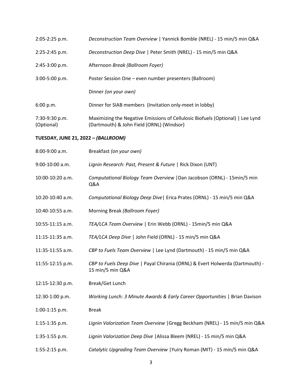| 2:05-2:25 p.m.               | Deconstruction Team Overview   Yannick Bomble (NREL) - 15 min/5 min Q&A                                                     |
|------------------------------|-----------------------------------------------------------------------------------------------------------------------------|
| 2:25-2:45 p.m.               | Deconstruction Deep Dive   Peter Smith (NREL) - 15 min/5 min Q&A                                                            |
| 2:45-3:00 p.m.               | Afternoon Break (Ballroom Foyer)                                                                                            |
| 3:00-5:00 p.m.               | Poster Session One - even number presenters (Ballroom)                                                                      |
|                              | Dinner (on your own)                                                                                                        |
| 6:00 p.m.                    | Dinner for SIAB members (Invitation only-meet in lobby)                                                                     |
| 7:30-9:30 p.m.<br>(Optional) | Maximizing the Negative Emissions of Cellulosic Biofuels (Optional)   Lee Lynd<br>(Dartmouth) & John Field (ORNL) (Windsor) |
|                              |                                                                                                                             |

## **TUESDAY, JUNE 21, 2022 –** *(BALLROOM)*

| 8:00-9:00 a.m.   | Breakfast (on your own)                                                                           |
|------------------|---------------------------------------------------------------------------------------------------|
| 9:00-10:00 a.m.  | Lignin Research: Past, Present & Future   Rick Dixon (UNT)                                        |
| 10:00-10:20 a.m. | Computational Biology Team Overview   Dan Jacobson (ORNL) - 15min/5 min<br>Q&A                    |
| 10:20-10:40 a.m. | Computational Biology Deep Dive   Erica Prates (ORNL) - 15 min/5 min Q&A                          |
| 10:40-10:55 a.m. | Morning Break (Ballroom Foyer)                                                                    |
| 10:55-11:15 a.m. | TEA/LCA Team Overview   Erin Webb (ORNL) - 15min/5 min Q&A                                        |
| 11:15-11:35 a.m. | TEA/LCA Deep Dive   John Field (ORNL) - 15 min/5 min Q&A                                          |
| 11:35-11:55 a.m. | CBP to Fuels Team Overview   Lee Lynd (Dartmouth) - 15 min/5 min Q&A                              |
| 11:55-12:15 p.m. | CBP to Fuels Deep Dive   Payal Chirania (ORNL) & Evert Holwerda (Dartmouth) -<br>15 min/5 min Q&A |
| 12:15-12:30 p.m. | Break/Get Lunch                                                                                   |
| 12:30-1:00 p.m.  | Working Lunch: 3 Minute Awards & Early Career Opportunities   Brian Davison                       |
| 1:00-1:15 p.m.   | <b>Break</b>                                                                                      |
| 1:15-1:35 p.m.   | Lignin Valorization Team Overview   Gregg Beckham (NREL) - 15 min/5 min Q&A                       |
| 1:35-1:55 p.m.   | Lignin Valorization Deep Dive   Alissa Bleem (NREL) - 15 min/5 min Q&A                            |
| 1:55-2:15 p.m.   | Catalytic Upgrading Team Overview   Yuiry Roman (MIT) - 15 min/5 min Q&A                          |